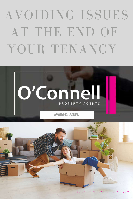# AVOIDING ISSUES AT THE END OF YOUR TENANCY



Let us take care of it for you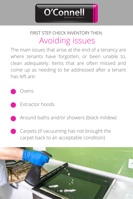

#### Avoiding issues FIRST STEP CHECK INVENTORY THEN:

The main issues that arise at the end of a tenancy are where tenants have forgotten, or been unable to, clean adequately. Items that are often missed and come up as needing to be addressed after a tenant has left are:

Ovens

- Extractor hoods
- Around baths and/or showers (black mildew)
- Carpets (if vacuuming has not brought the carpet back to an acceptable condition)

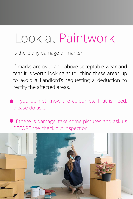#### Look at Paintwork

Is there any damage or marks?

If marks are over and above acceptable wear and tear it is worth looking at touching these areas up to avoid a Landlord's requesting a deduction to rectify the affected areas.

If you do not know the colour etc that is need, please do ask.

If there is damage, take some pictures and ask us BEFORE the check out inspection.

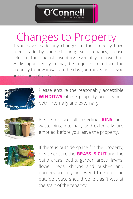Changes to Property

O'Con

If you have made any changes to the property have been made by yourself during your tenancy, please refer to the original inventory. Even if you have had works approved, you may be required to return the property to how it was on the day you moved in - If you are unsure, please ask us.



Please ensure the reasonably accessible **WINDOWS** of the property are cleaned both internally and externally.



Please ensure all recycling **BINS** and waste bins, internally and externally, are emptied before you leave the property.



If there is outside space for the property, please ensure the **GRASS IS CUT** and the patio areas, paths, garden areas, lawns, flower beds, shrubs and bushes and borders are tidy and weed free etc. The outside space should be left as it was at the start of the tenancy.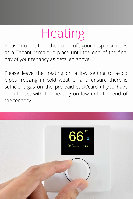## Heating

Please do not turn the boiler off, your responsibilities as a Tenant remain in place until the end of the final day of your tenancy as detailed above.

Please leave the heating on a low setting to avoid pipes freezing in cold weather and ensure there is sufficient gas on the pre-paid stick/card (if you have one) to last with the heating on low until the end of the tenancy.

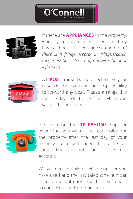



If there are **APPLIANCES** in the property, when you vacate please ensure they have all been cleaned and switched off (*If there is a fridge, freezer or fridge/freezer, they must be switched off but with the door left open*).



All **POST** must be re-directed to your new address as it is not our responsibility to forward any post. Please arrange this for re-direction to be from when you vacate the property.



Please make the **TELEPHONE** supplier aware that you will not be responsible for the property after the last day of your tenancy. You will need to settle all outstanding amounts and close the account.

We will need details of which supplier you have used and the last telephone number used to make it easier for the next tenant to connect a line to the property.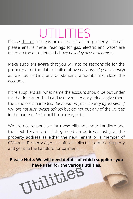## UTILITIES

Please do not turn gas or electric off at the property. Instead, please ensure meter readings for gas, electric and water are taken on the date detailed above (*last day of your tenancy*).

Make suppliers aware that you will not be responsible for the property after the date detailed above (*last day of your tenancy*) as well as settling any outstanding amounts and close the accounts.

If the suppliers ask what name the account should be put under for the time after the last day of your tenancy, please give them the Landlord's name (*can be found on your tenancy agreement, if you are not sure, please ask us*) but do not put any of the utilities in the name of O'Connell Property Agents.

We are not responsible for these bills, you, your Landlord and the next Tenant are. If they need an address, just give the property address as either the new Tenant or a member of O'Connell Property Agents' staff will collect it from the property and get it to the Landlord for payment.

**Please Note: We will need details of which suppliers you** have used for the various utilities.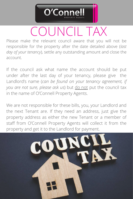

#### COUNCIL TAX

Please make the relevant council aware that you will not be responsible for the property after the date detailed above (*last day of your tenancy*), settle any outstanding amount and close the account.

If the council ask what name the account should be put under after the last day of your tenancy, please give the Landlord's name (*can be found on your tenancy agreement, if you are not sure, please ask us*) but do not put the council tax in the name of O'Connell Property Agents.

We are not responsible for these bills, you, your Landlord and the next Tenant are. If they need an address, just give the property address as either the new Tenant or a member of staff from O'Connell Property Agents will collect it from the property and get it to the Landlord for payment.

COUN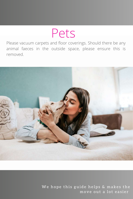#### Pets

Please vacuum carpets and floor coverings. Should there be any animal faeces in the outside space, please ensure this is removed.



We hope this guide helps & makes the move out a lot easier